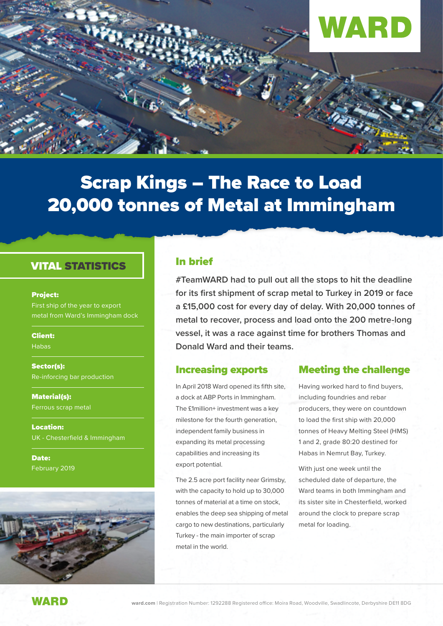

# Scrap Kings – The Race to Load 20,000 tonnes of Metal at Immingham

#### VITAL STATISTICS

#### Project:

First ship of the year to export metal from Ward's Immingham dock

Client:

Habas

Sector(s): Re-inforcing bar production

Material(s): Ferrous scrap metal

Location: UK - Chesterfield & Immingham

Date: February 2019



#### In brief

**#TeamWARD had to pull out all the stops to hit the deadline for its first shipment of scrap metal to Turkey in 2019 or face a £15,000 cost for every day of delay. With 20,000 tonnes of metal to recover, process and load onto the 200 metre-long vessel, it was a race against time for brothers Thomas and Donald Ward and their teams.** 

#### Increasing exports

In April 2018 Ward opened its fifth site, a dock at ABP Ports in Immingham. The £1million+ investment was a key milestone for the fourth generation, independent family business in expanding its metal processing capabilities and increasing its export potential.

The 2.5 acre port facility near Grimsby, with the capacity to hold up to 30,000 tonnes of material at a time on stock, enables the deep sea shipping of metal cargo to new destinations, particularly Turkey - the main importer of scrap metal in the world.

#### Meeting the challenge

Having worked hard to find buyers, including foundries and rebar producers, they were on countdown to load the first ship with 20,000 tonnes of Heavy Melting Steel (HMS) 1 and 2, grade 80:20 destined for Habas in Nemrut Bay, Turkey.

With just one week until the scheduled date of departure, the Ward teams in both Immingham and its sister site in Chesterfield, worked around the clock to prepare scrap metal for loading.

WARD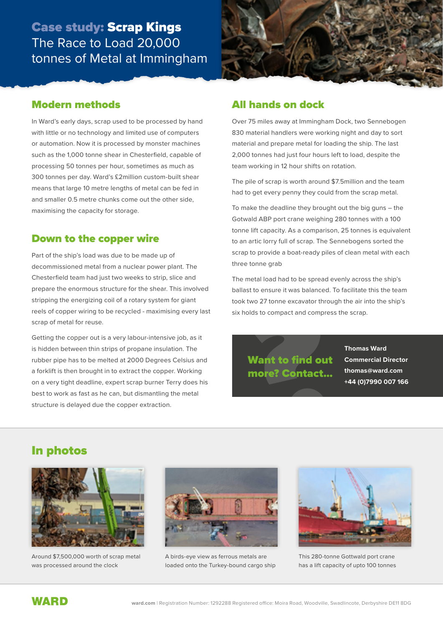### Case study: Scrap Kings The Race to Load 20,000 tonnes of Metal at Immingham



#### Modern methods

In Ward's early days, scrap used to be processed by hand with little or no technology and limited use of computers or automation. Now it is processed by monster machines such as the 1,000 tonne shear in Chesterfield, capable of processing 50 tonnes per hour, sometimes as much as 300 tonnes per day. Ward's £2million custom-built shear means that large 10 metre lengths of metal can be fed in and smaller 0.5 metre chunks come out the other side, maximising the capacity for storage.

#### Down to the copper wire

Part of the ship's load was due to be made up of decommissioned metal from a nuclear power plant. The Chesterfield team had just two weeks to strip, slice and prepare the enormous structure for the shear. This involved stripping the energizing coil of a rotary system for giant reels of copper wiring to be recycled - maximising every last scrap of metal for reuse.

Getting the copper out is a very labour-intensive job, as it is hidden between thin strips of propane insulation. The rubber pipe has to be melted at 2000 Degrees Celsius and a forklift is then brought in to extract the copper. Working on a very tight deadline, expert scrap burner Terry does his best to work as fast as he can, but dismantling the metal structure is delayed due the copper extraction.

### All hands on dock

Over 75 miles away at Immingham Dock, two Sennebogen 830 material handlers were working night and day to sort material and prepare metal for loading the ship. The last 2,000 tonnes had just four hours left to load, despite the team working in 12 hour shifts on rotation.

The pile of scrap is worth around \$7.5million and the team had to get every penny they could from the scrap metal.

To make the deadline they brought out the big guns – the Gotwald ABP port crane weighing 280 tonnes with a 100 tonne lift capacity. As a comparison, 25 tonnes is equivalent to an artic lorry full of scrap. The Sennebogens sorted the scrap to provide a boat-ready piles of clean metal with each three tonne grab

The metal load had to be spread evenly across the ship's ballast to ensure it was balanced. To facilitate this the team took two 27 tonne excavator through the air into the ship's six holds to compact and compress the scrap.

Want to find out more? Contact... **Thomas Ward Commercial Director thomas@ward.com +44 (0)7990 007 166**

### In photos



Around \$7,500,000 worth of scrap metal was processed around the clock



A birds-eye view as ferrous metals are loaded onto the Turkey-bound cargo ship



This 280-tonne Gottwald port crane has a lift capacity of upto 100 tonnes